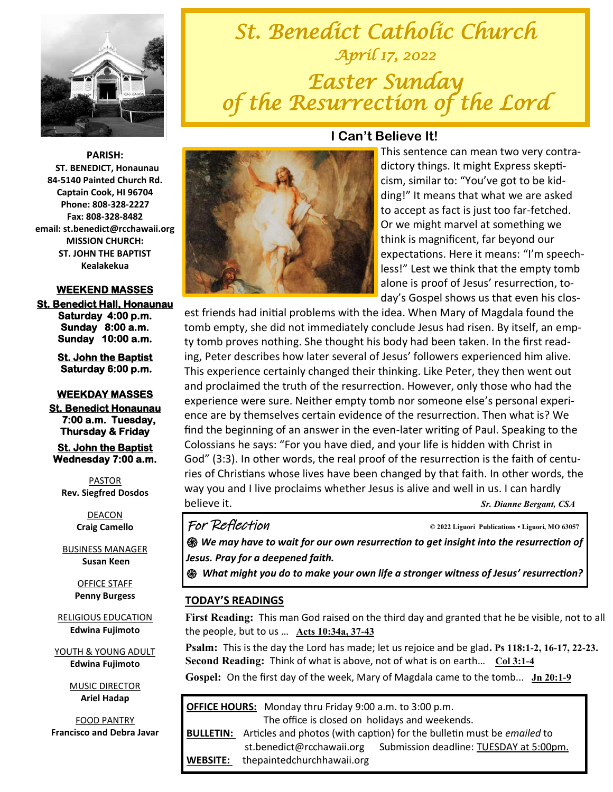

*St. Benedict Catholic Church April 17, 2022 Easter Sunday of the Resurrection of the Lord* 



### **WEEKEND MASSES**

**St. Benedict Hall, Honaunau Saturday 4:00 p.m. Sunday 8:00 a.m. Sunday 10:00 a.m.** 

> **St. John the Baptist Saturday 6:00 p.m.**

### **WEEKDAY MASSES**

**St. Benedict Honaunau 7:00 a.m. Tuesday, Thursday & Friday** 

**St. John the Baptist Wednesday 7:00 a.m.** 

PASTOR **Rev. Siegfred Dosdos**

> DEACON **Craig Camello**

BUSINESS MANAGER **Susan Keen**

> OFFICE STAFF **Penny Burgess**

RELIGIOUS EDUCATION **Edwina Fujimoto**

YOUTH & YOUNG ADULT **Edwina Fujimoto**

> MUSIC DIRECTOR **Ariel Hadap**

FOOD PANTRY **Francisco and Debra Javar**



### **I Can't Believe It!**

This sentence can mean two very contradictory things. It might Express skepticism, similar to: "You've got to be kidding!" It means that what we are asked to accept as fact is just too far-fetched. Or we might marvel at something we think is magnificent, far beyond our expectations. Here it means: "I'm speechless!" Lest we think that the empty tomb alone is proof of Jesus' resurrection, today's Gospel shows us that even his clos-

est friends had initial problems with the idea. When Mary of Magdala found the tomb empty, she did not immediately conclude Jesus had risen. By itself, an empty tomb proves nothing. She thought his body had been taken. In the first reading, Peter describes how later several of Jesus' followers experienced him alive. This experience certainly changed their thinking. Like Peter, they then went out and proclaimed the truth of the resurrection. However, only those who had the experience were sure. Neither empty tomb nor someone else's personal experience are by themselves certain evidence of the resurrection. Then what is? We find the beginning of an answer in the even-later writing of Paul. Speaking to the Colossians he says: "For you have died, and your life is hidden with Christ in God" (3:3). In other words, the real proof of the resurrection is the faith of centuries of Christians whose lives have been changed by that faith. In other words, the way you and I live proclaims whether Jesus is alive and well in us. I can hardly believe it. *Sr. Dianne Bergant, CSA* 

For Reflection **© 2022 Liguori Publications • Liguori, MO 63057** 

*֍ We may have to wait for our own resurrection to get insight into the resurrection of Jesus. Pray for a deepened faith.* 

*֍ What might you do to make your own life a stronger witness of Jesus' resurrection?* 

### **TODAY'S READINGS**

**First Reading:** This man God raised on the third day and granted that he be visible, not to all the people, but to us … **[Acts 10:34a, 37-43](https://bible.usccb.org/bible/acts/10?34)**

**Psalm:** This is the day the Lord has made; let us rejoice and be glad**. [Ps 118:1-2, 16-17, 22-23.](https://bible.usccb.org/bible/psalms/118) Second Reading:** Think of what is above, not of what is on earth… **[Col 3:1-4](https://bible.usccb.org/bible/colossians/3)**

**Gospel:** On the first day of the week, Mary of Magdala came to the tomb... **[Jn 20:1-9](https://bible.usccb.org/bible/john/20?1)** 

**OFFICE HOURS:** Monday thru Friday 9:00 a.m. to 3:00 p.m. The office is closed on holidays and weekends.

**BULLETIN:** Articles and photos (with caption) for the bulletin must be *emailed* to st.benedict@rcchawaii.org Submission deadline: TUESDAY at 5:00pm. **WEBSITE:** thepaintedchurchhawaii.org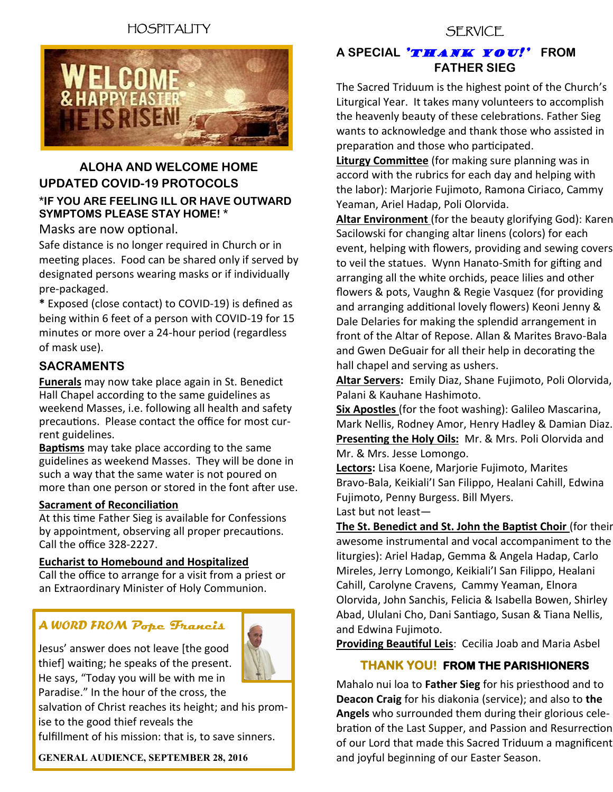# HOSPITALITY



### **ALOHA AND WELCOME HOME UPDATED COVID-19 PROTOCOLS \*IF YOU ARE FEELING ILL OR HAVE OUTWARD SYMPTOMS PLEASE STAY HOME! \***

### Masks are now optional.

Safe distance is no longer required in Church or in meeting places. Food can be shared only if served by designated persons wearing masks or if individually pre-packaged.

**\*** Exposed (close contact) to COVID-19) is defined as being within 6 feet of a person with COVID-19 for 15 minutes or more over a 24-hour period (regardless of mask use).

### **SACRAMENTS**

**Funerals** may now take place again in St. Benedict Hall Chapel according to the same guidelines as weekend Masses, i.e. following all health and safety precautions. Please contact the office for most current guidelines.

**Baptisms** may take place according to the same guidelines as weekend Masses. They will be done in such a way that the same water is not poured on more than one person or stored in the font after use.

### **Sacrament of Reconciliation**

At this time Father Sieg is available for Confessions by appointment, observing all proper precautions. Call the office 328-2227.

### **Eucharist to Homebound and Hospitalized**

Call the office to arrange for a visit from a priest or an Extraordinary Minister of Holy Communion.

### *A WORD FROM* **Pope Francis**

Jesus' answer does not leave [the good thief] waiting; he speaks of the present. He says, "Today you will be with me in Paradise." In the hour of the cross, the

salvation of Christ reaches its height; and his promise to the good thief reveals the

fulfillment of his mission: that is, to save sinners.

**GENERAL AUDIENCE, SEPTEMBER 28, 2016** 

### **SERVICE**

### **A SPECIAL 'THANK YOU!'** FROM **FATHER SIEG**

The Sacred Triduum is the highest point of the Church's Liturgical Year. It takes many volunteers to accomplish the heavenly beauty of these celebrations. Father Sieg wants to acknowledge and thank those who assisted in preparation and those who participated.

**Liturgy Committee** (for making sure planning was in accord with the rubrics for each day and helping with the labor): Marjorie Fujimoto, Ramona Ciriaco, Cammy Yeaman, Ariel Hadap, Poli Olorvida.

**Altar Environment** (for the beauty glorifying God): Karen Sacilowski for changing altar linens (colors) for each event, helping with flowers, providing and sewing covers to veil the statues. Wynn Hanato-Smith for gifting and arranging all the white orchids, peace lilies and other flowers & pots, Vaughn & Regie Vasquez (for providing and arranging additional lovely flowers) Keoni Jenny & Dale Delaries for making the splendid arrangement in front of the Altar of Repose. Allan & Marites Bravo-Bala and Gwen DeGuair for all their help in decorating the hall chapel and serving as ushers.

**Altar Servers:** Emily Diaz, Shane Fujimoto, Poli Olorvida, Palani & Kauhane Hashimoto.

**Six Apostles** (for the foot washing): Galileo Mascarina, Mark Nellis, Rodney Amor, Henry Hadley & Damian Diaz. **Presenting the Holy Oils:** Mr. & Mrs. Poli Olorvida and Mr. & Mrs. Jesse Lomongo.

**Lectors:** Lisa Koene, Marjorie Fujimoto, Marites Bravo-Bala, Keikiali'I San Filippo, Healani Cahill, Edwina Fujimoto, Penny Burgess. Bill Myers.

Last but not least—

**The St. Benedict and St. John the Baptist Choir** (for their awesome instrumental and vocal accompaniment to the liturgies): Ariel Hadap, Gemma & Angela Hadap, Carlo Mireles, Jerry Lomongo, Keikiali'I San Filippo, Healani Cahill, Carolyne Cravens, Cammy Yeaman, Elnora Olorvida, John Sanchis, Felicia & Isabella Bowen, Shirley Abad, Ululani Cho, Dani Santiago, Susan & Tiana Nellis, and Edwina Fujimoto.

**Providing Beautiful Leis**: Cecilia Joab and Maria Asbel

### **THANK YOU! FROM THE PARISHIONERS**

Mahalo nui loa to **Father Sieg** for his priesthood and to **Deacon Craig** for his diakonia (service); and also to **the Angels** who surrounded them during their glorious celebration of the Last Supper, and Passion and Resurrection of our Lord that made this Sacred Triduum a magnificent and joyful beginning of our Easter Season.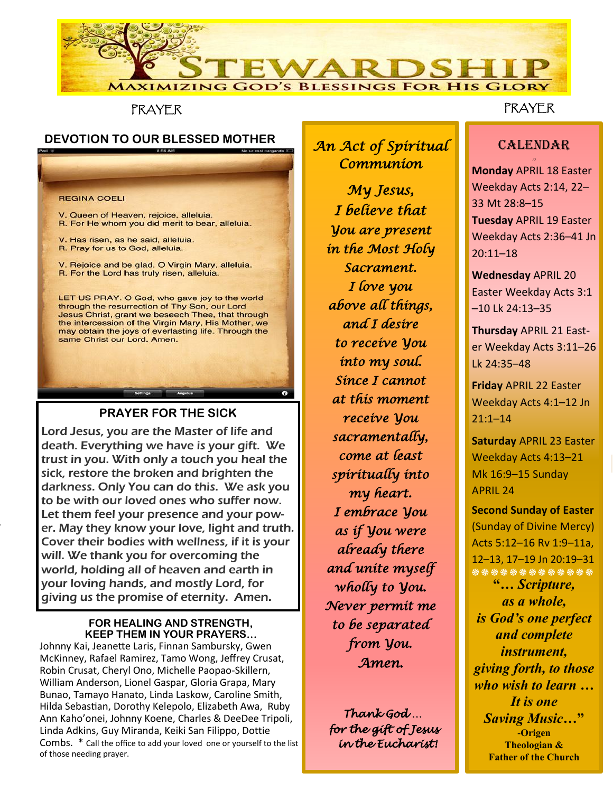

PRAYER

# **DEVOTION TO OUR BLESSED MOTHER** *An Act of Spiritual*

**REGINA COELI** 

event, helping with flowers, providing and sewing covers

 $($ for the their their their their theorem  $\frac{1}{2}$ 

V. Queen of Heaven, rejoice, alleluia. R. For He whom you did merit to bear, alleluia.

V. Has risen, as he said, alleluia. R. Pray for us to God, alleluia.

V. Rejoice and be glad, O Virgin Mary, alleluia. R. For the Lord has truly risen, alleluia.

LET US PRAY. O God, who gave joy to the world through the resurrection of Thy Son, our Lord Jesus Christ, grant we beseech Thee, that through the intercession of the Virgin Mary, His Mother, we may obtain the joys of everlasting life. Through the same Christ our Lord. Amen.

### **PRAYER FOR THE SICK**

Lord Jesus, you are the Master of life and death. Everything we have is your gift. We trust in you. With only a touch you heal the sick, restore the broken and brighten the darkness. Only You can do this. We ask you to be with our loved ones who suffer now. Let them feel your presence and your power. May they know your love, light and truth. Cover their bodies with wellness, if it is your will. We thank you for overcoming the world, holding all of heaven and earth in your loving hands, and mostly Lord, for giving us the promise of eternity. Amen.

#### **FOR HEALING AND STRENGTH, KEEP THEM IN YOUR PRAYERS…**

Johnny Kai, Jeanette Laris, Finnan Sambursky, Gwen McKinney, Rafael Ramirez, Tamo Wong, Jeffrey Crusat, Robin Crusat, Cheryl Ono, Michelle Paopao-Skillern, William Anderson, Lionel Gaspar, Gloria Grapa, Mary Bunao, Tamayo Hanato, Linda Laskow, Caroline Smith, Hilda Sebastian, Dorothy Kelepolo, Elizabeth Awa, Ruby Ann Kaho'onei, Johnny Koene, Charles & DeeDee Tripoli, Linda Adkins, Guy Miranda, Keiki San Filippo, Dottie Combs. \* Call the office to add your loved one or yourself to the list of those needing prayer.

*Communion* 

*My Jesus, I believe that You are present in the Most Holy Sacrament. I love you above all things, and I desire to receive You into my soul. Since I cannot at this moment receive You sacramentally, come at least spiritually into my heart. I embrace You as if You were already there and unite myself wholly to You. Never permit me to be separated from You. Amen.* 

 *Thank God … for the gift of Jesus in the Eucharist!* 

# PRAYER

### **CALENDAR** .0

**Monday** APRIL 18 Easter Weekday Acts 2:14, 22– 33 Mt 28:8–15 **Tuesday** APRIL 19 Easter Weekday Acts 2:36–41 Jn 20:11–18

**Wednesday** APRIL 20 Easter Weekday Acts 3:1 –10 Lk 24:13–35

**Thursday** APRIL 21 Easter Weekday Acts 3:11–26 Lk 24:35–48

**Friday** APRIL 22 Easter Weekday Acts 4:1–12 Jn 21:1–14 Ī

**Saturday** APRIL 23 Easter Weekday Acts 4:13–21 Mk 16:9–15 Sunday APRIL 24

**Second Sunday of Easter** (Sunday of Divine Mercy) Acts 5:12–16 Rv 1:9–11a, 12–13, 17–19 Jn 20:19–31 **֍ ֍ ֍ ֍ ֍ ֍ ֍ ֍ ֍ ֍ ֍ ֍ ֍ "***… Scripture, as a whole,*

*is God's one perfect and complete instrument, giving forth, to those who wish to learn … It is one Saving Music…***" -Origen Theologian & Father of the Church**